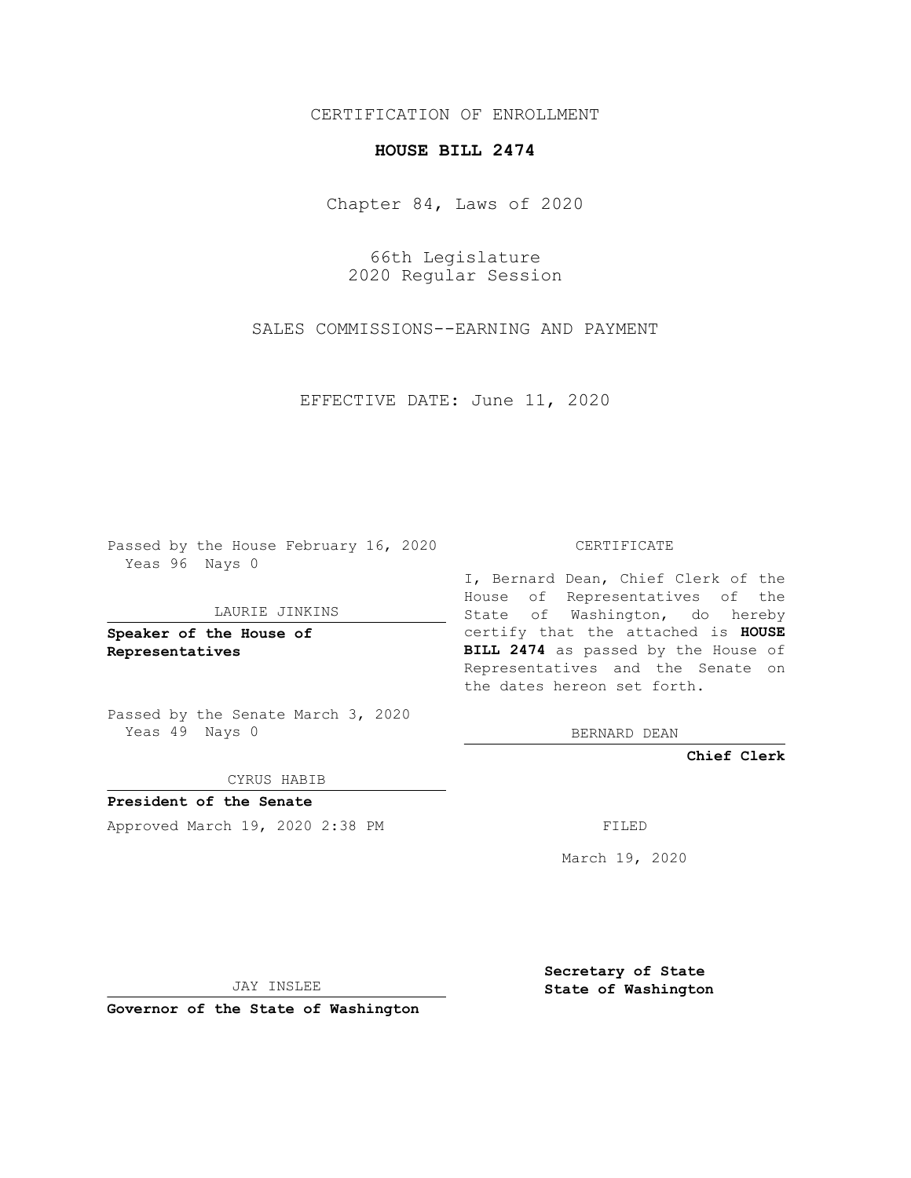CERTIFICATION OF ENROLLMENT

## **HOUSE BILL 2474**

Chapter 84, Laws of 2020

66th Legislature 2020 Regular Session

SALES COMMISSIONS--EARNING AND PAYMENT

EFFECTIVE DATE: June 11, 2020

Passed by the House February 16, 2020 Yeas 96 Nays 0

LAURIE JINKINS

**Speaker of the House of Representatives**

Passed by the Senate March 3, 2020 Yeas 49 Nays 0

CYRUS HABIB

**President of the Senate** Approved March 19, 2020 2:38 PM FILED

CERTIFICATE

I, Bernard Dean, Chief Clerk of the House of Representatives of the State of Washington, do hereby certify that the attached is **HOUSE BILL 2474** as passed by the House of Representatives and the Senate on the dates hereon set forth.

BERNARD DEAN

**Chief Clerk**

March 19, 2020

JAY INSLEE

**Governor of the State of Washington**

**Secretary of State State of Washington**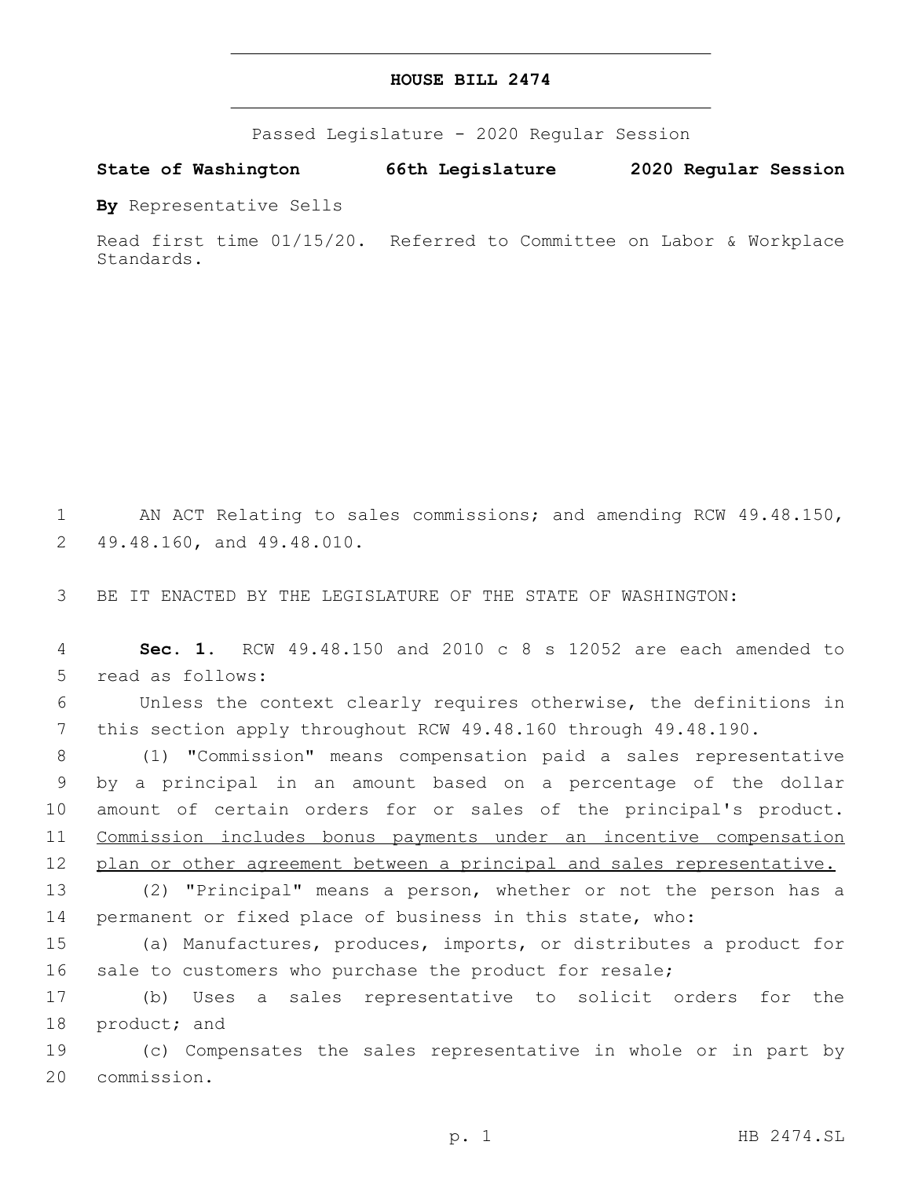## **HOUSE BILL 2474**

Passed Legislature - 2020 Regular Session

**State of Washington 66th Legislature 2020 Regular Session**

**By** Representative Sells

Read first time 01/15/20. Referred to Committee on Labor & Workplace Standards.

1 AN ACT Relating to sales commissions; and amending RCW 49.48.150, 2 49.48.160, and 49.48.010.

3 BE IT ENACTED BY THE LEGISLATURE OF THE STATE OF WASHINGTON:

4 **Sec. 1.** RCW 49.48.150 and 2010 c 8 s 12052 are each amended to 5 read as follows:

6 Unless the context clearly requires otherwise, the definitions in 7 this section apply throughout RCW 49.48.160 through 49.48.190.

 (1) "Commission" means compensation paid a sales representative by a principal in an amount based on a percentage of the dollar amount of certain orders for or sales of the principal's product. Commission includes bonus payments under an incentive compensation 12 plan or other agreement between a principal and sales representative.

13 (2) "Principal" means a person, whether or not the person has a 14 permanent or fixed place of business in this state, who:

15 (a) Manufactures, produces, imports, or distributes a product for 16 sale to customers who purchase the product for resale;

17 (b) Uses a sales representative to solicit orders for the 18 product; and

19 (c) Compensates the sales representative in whole or in part by 20 commission.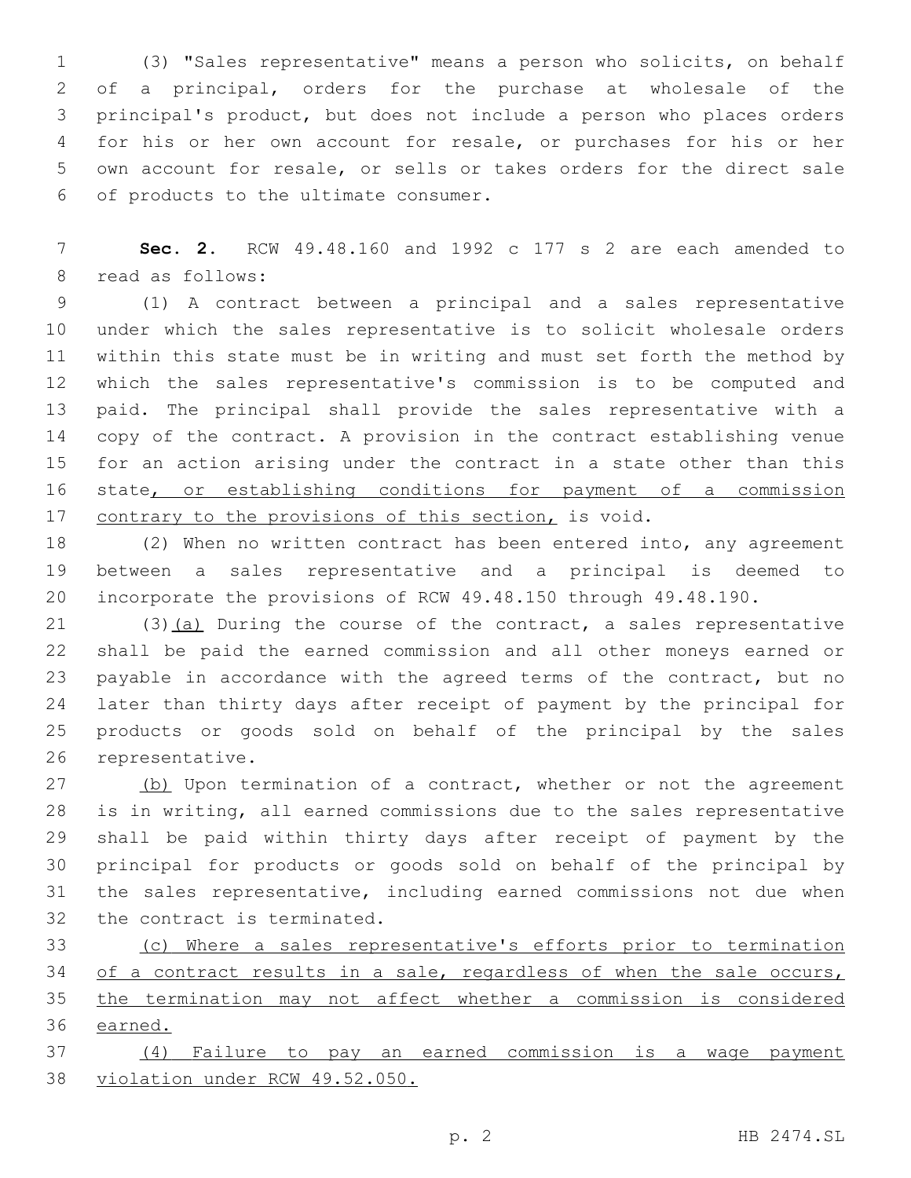(3) "Sales representative" means a person who solicits, on behalf of a principal, orders for the purchase at wholesale of the principal's product, but does not include a person who places orders for his or her own account for resale, or purchases for his or her own account for resale, or sells or takes orders for the direct sale of products to the ultimate consumer.6

 **Sec. 2.** RCW 49.48.160 and 1992 c 177 s 2 are each amended to 8 read as follows:

 (1) A contract between a principal and a sales representative under which the sales representative is to solicit wholesale orders within this state must be in writing and must set forth the method by which the sales representative's commission is to be computed and paid. The principal shall provide the sales representative with a copy of the contract. A provision in the contract establishing venue for an action arising under the contract in a state other than this 16 state<sub>L</sub> or establishing conditions for payment of a commission 17 contrary to the provisions of this section, is void.

 (2) When no written contract has been entered into, any agreement between a sales representative and a principal is deemed to incorporate the provisions of RCW 49.48.150 through 49.48.190.

21 (3)(a) During the course of the contract, a sales representative shall be paid the earned commission and all other moneys earned or payable in accordance with the agreed terms of the contract, but no later than thirty days after receipt of payment by the principal for products or goods sold on behalf of the principal by the sales 26 representative.

27 (b) Upon termination of a contract, whether or not the agreement is in writing, all earned commissions due to the sales representative shall be paid within thirty days after receipt of payment by the principal for products or goods sold on behalf of the principal by the sales representative, including earned commissions not due when 32 the contract is terminated.

 (c) Where a sales representative's efforts prior to termination 34 of a contract results in a sale, regardless of when the sale occurs, the termination may not affect whether a commission is considered earned.

 (4) Failure to pay an earned commission is a wage payment violation under RCW 49.52.050.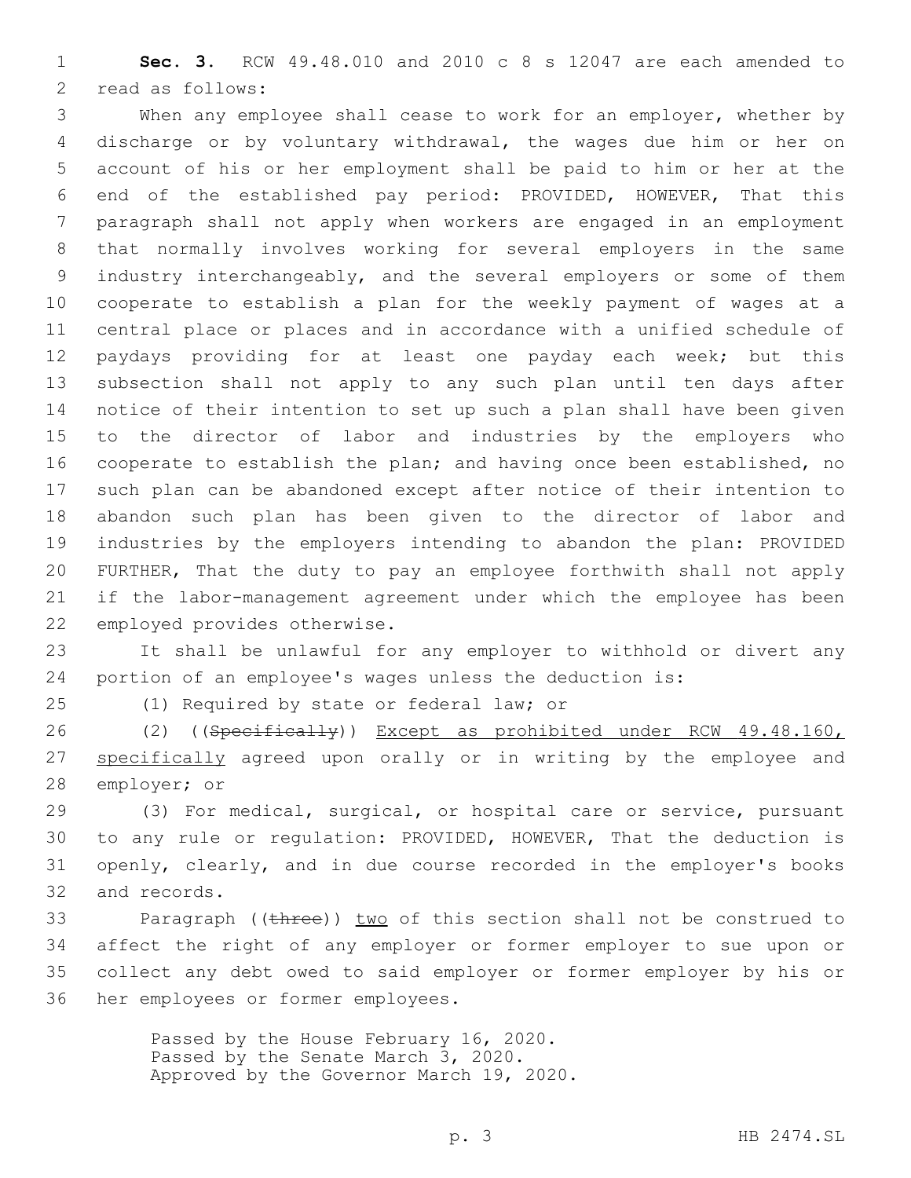**Sec. 3.** RCW 49.48.010 and 2010 c 8 s 12047 are each amended to 2 read as follows:

 When any employee shall cease to work for an employer, whether by discharge or by voluntary withdrawal, the wages due him or her on account of his or her employment shall be paid to him or her at the end of the established pay period: PROVIDED, HOWEVER, That this paragraph shall not apply when workers are engaged in an employment that normally involves working for several employers in the same industry interchangeably, and the several employers or some of them cooperate to establish a plan for the weekly payment of wages at a central place or places and in accordance with a unified schedule of paydays providing for at least one payday each week; but this subsection shall not apply to any such plan until ten days after notice of their intention to set up such a plan shall have been given to the director of labor and industries by the employers who cooperate to establish the plan; and having once been established, no such plan can be abandoned except after notice of their intention to abandon such plan has been given to the director of labor and industries by the employers intending to abandon the plan: PROVIDED FURTHER, That the duty to pay an employee forthwith shall not apply if the labor-management agreement under which the employee has been 22 employed provides otherwise.

 It shall be unlawful for any employer to withhold or divert any portion of an employee's wages unless the deduction is:

25 (1) Required by state or federal law; or

 (2) ((Specifically)) Except as prohibited under RCW 49.48.160, 27 specifically agreed upon orally or in writing by the employee and 28 employer; or

 (3) For medical, surgical, or hospital care or service, pursuant to any rule or regulation: PROVIDED, HOWEVER, That the deduction is openly, clearly, and in due course recorded in the employer's books 32 and records.

33 Paragraph ((three)) two of this section shall not be construed to affect the right of any employer or former employer to sue upon or collect any debt owed to said employer or former employer by his or 36 her employees or former employees.

> Passed by the House February 16, 2020. Passed by the Senate March 3, 2020. Approved by the Governor March 19, 2020.